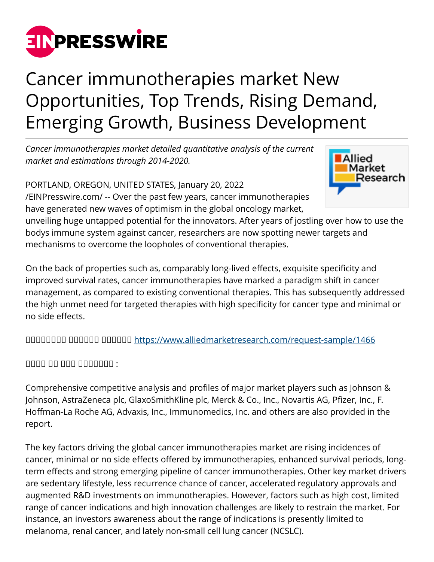

## Cancer immunotherapies market New Opportunities, Top Trends, Rising Demand, Emerging Growth, Business Development

*Cancer immunotherapies market detailed quantitative analysis of the current market and estimations through 2014-2020.*

PORTLAND, OREGON, UNITED STATES, January 20, 2022 [/EINPresswire.com/](http://www.einpresswire.com) -- Over the past few years, cancer immunotherapies have generated new waves of optimism in the global oncology market,



unveiling huge untapped potential for the innovators. After years of jostling over how to use the bodys immune system against cancer, researchers are now spotting newer targets and mechanisms to overcome the loopholes of conventional therapies.

On the back of properties such as, comparably long-lived effects, exquisite specificity and improved survival rates, cancer immunotherapies have marked a paradigm shift in cancer management, as compared to existing conventional therapies. This has subsequently addressed the high unmet need for targeted therapies with high specificity for cancer type and minimal or no side effects.

ᵀᵂᵃᵂᵂᵂᵁᵁ ᵁᵁᵂᵂᵂᵁ ᵁᵁᵂᵂᵂᵂ<https://www.alliedmarketresearch.com/request-sample/1466>

 $\Box$ 

Comprehensive competitive analysis and profiles of major market players such as Johnson & Johnson, AstraZeneca plc, GlaxoSmithKline plc, Merck & Co., Inc., Novartis AG, Pfizer, Inc., F. Hoffman-La Roche AG, Advaxis, Inc., Immunomedics, Inc. and others are also provided in the report.

The key factors driving the global cancer immunotherapies market are rising incidences of cancer, minimal or no side effects offered by immunotherapies, enhanced survival periods, longterm effects and strong emerging pipeline of cancer immunotherapies. Other key market drivers are sedentary lifestyle, less recurrence chance of cancer, accelerated regulatory approvals and augmented R&D investments on immunotherapies. However, factors such as high cost, limited range of cancer indications and high innovation challenges are likely to restrain the market. For instance, an investors awareness about the range of indications is presently limited to melanoma, renal cancer, and lately non-small cell lung cancer (NCSLC).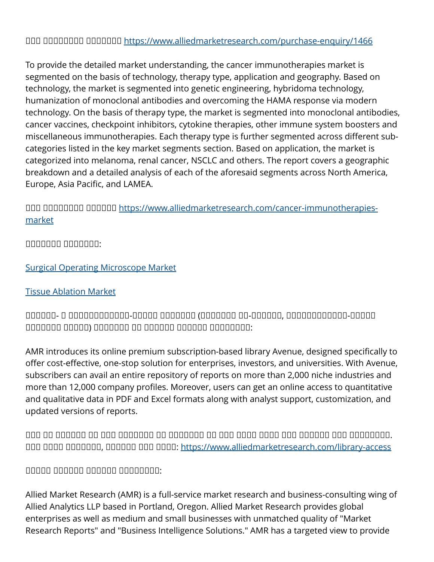## OOO OOOOOOO OOOOOO <https://www.alliedmarketresearch.com/purchase-enquiry/1466>

To provide the detailed market understanding, the cancer immunotherapies market is segmented on the basis of technology, therapy type, application and geography. Based on technology, the market is segmented into genetic engineering, hybridoma technology, humanization of monoclonal antibodies and overcoming the HAMA response via modern technology. On the basis of therapy type, the market is segmented into monoclonal antibodies, cancer vaccines, checkpoint inhibitors, cytokine therapies, other immune system boosters and miscellaneous immunotherapies. Each therapy type is further segmented across different subcategories listed in the key market segments section. Based on application, the market is categorized into melanoma, renal cancer, NSCLC and others. The report covers a geographic breakdown and a detailed analysis of each of the aforesaid segments across North America, Europe, Asia Pacific, and LAMEA.

UOO OOOOOO OOOOO [https://www.alliedmarketresearch.com/cancer-immunotherapies](https://www.alliedmarketresearch.com/cancer-immunotherapies-market)[market](https://www.alliedmarketresearch.com/cancer-immunotherapies-market)

ᵁᵁᵂᵁᵂᵁᵁ ᵁᵁᵂᵂᵂᵂᵂ:

[Surgical Operating Microscope Market](https://www.alliedmarketresearch.com/surgical-operating-microscope-market)

## [Tissue Ablation Market](https://www.alliedmarketresearch.com/tissue-ablation-market)

ᵀᵁᵀᵀᵁᵀ- ᵀ ᵁᵂᵁᵂᵁᵂᵂᵂᵂᵂᵂᵂ-ᵀᵁᵂᵁᵁ ᵀᵂᵁᵂᵁᵂᵃ (ᵀᵂᵁᵂᵂᵂᵂ ᵂᵂ-ᵁᵁᵂᵁᵂᵁ, ᵂᵂᵁᵂᵁᵂᵂᵂᵂᵂᵂᵂ-ᵁᵁᵂᵁᵁ  $\Box$ 

AMR introduces its online premium subscription-based library Avenue, designed specifically to offer cost-effective, one-stop solution for enterprises, investors, and universities. With Avenue, subscribers can avail an entire repository of reports on more than 2,000 niche industries and more than 12,000 company profiles. Moreover, users can get an online access to quantitative and qualitative data in PDF and Excel formats along with analyst support, customization, and updated versions of reports.

ᵀᵁᵂ ᵁᵂ ᵁᵁᵁᵁᵂᵂ ᵂᵂ ᵂᵂᵁ ᵂᵂᵁᵂᵁᵂᵃ ᵂᵁ ᵂᵁᵂᵂᵂᵂᵂ ᵁᵂ ᵁᵂᵃ ᵂᵂᵂᵁ ᵁᵂᵂᵂ ᵁᵂᵃ ᵁᵁᵂᵂᵁᵁ ᵁᵂᵁ ᵁᵂᵃᵃᵂᵁᵂᵁ. ᵀᵂᵂ ᵂᵂᵂᵁ ᵁᵁᵂᵁᵂᵂᵂ, ᵁᵂᵂᵂᵂᵃ ᵂᵂᵁ ᵂᵂᵂᵂ:<https://www.alliedmarketresearch.com/library-access>

## $\Box$

Allied Market Research (AMR) is a full-service market research and business-consulting wing of Allied Analytics LLP based in Portland, Oregon. Allied Market Research provides global enterprises as well as medium and small businesses with unmatched quality of "Market Research Reports" and "Business Intelligence Solutions." AMR has a targeted view to provide